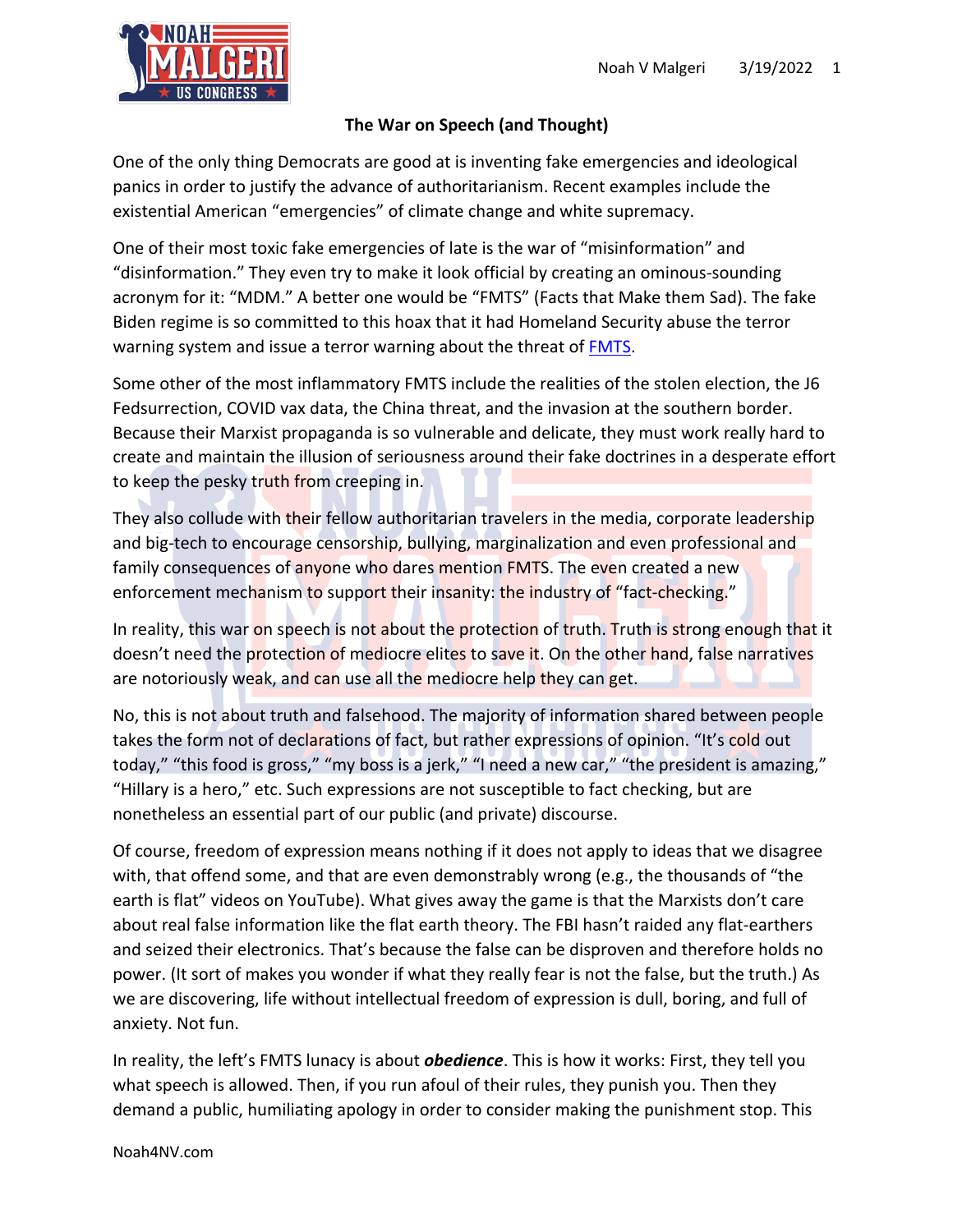

## **The War on Speech (and Thought)**

One of the only thing Democrats are good at is inventing fake emergencies and ideological panics in order to justify the advance of authoritarianism. Recent examples include the existential American "emergencies" of climate change and white supremacy.

One of their most toxic fake emergencies of late is the war of "misinformation" and "disinformation." They even try to make it look official by creating an ominous-sounding acronym for it: "MDM." A better one would be "FMTS" (Facts that Make them Sad). The fake Biden regime is so committed to this hoax that it had Homeland Security abuse the terror warning system and issue a terror warning about the threat of FMTS.

Some other of the most inflammatory FMTS include the realities of the stolen election, the J6 Fedsurrection, COVID vax data, the China threat, and the invasion at the southern border. Because their Marxist propaganda is so vulnerable and delicate, they must work really hard to create and maintain the illusion of seriousness around their fake doctrines in a desperate effort to keep the pesky truth from creeping in.

They also collude with their fellow authoritarian travelers in the media, corporate leadership and big-tech to encourage censorship, bullying, marginalization and even professional and family consequences of anyone who dares mention FMTS. The even created a new enforcement mechanism to support their insanity: the industry of "fact-checking."

In reality, this war on speech is not about the protection of truth. Truth is strong enough that it doesn't need the protection of mediocre elites to save it. On the other hand, false narratives are notoriously weak, and can use all the mediocre help they can get.

No, this is not about truth and falsehood. The majority of information shared between people takes the form not of declarations of fact, but rather expressions of opinion. "It's cold out today," "this food is gross," "my boss is a jerk," "I need a new car," "the president is amazing," "Hillary is a hero," etc. Such expressions are not susceptible to fact checking, but are nonetheless an essential part of our public (and private) discourse.

Of course, freedom of expression means nothing if it does not apply to ideas that we disagree with, that offend some, and that are even demonstrably wrong (e.g., the thousands of "the earth is flat" videos on YouTube). What gives away the game is that the Marxists don't care about real false information like the flat earth theory. The FBI hasn't raided any flat-earthers and seized their electronics. That's because the false can be disproven and therefore holds no power. (It sort of makes you wonder if what they really fear is not the false, but the truth.) As we are discovering, life without intellectual freedom of expression is dull, boring, and full of anxiety. Not fun.

In reality, the left's FMTS lunacy is about *obedience*. This is how it works: First, they tell you what speech is allowed. Then, if you run afoul of their rules, they punish you. Then they demand a public, humiliating apology in order to consider making the punishment stop. This